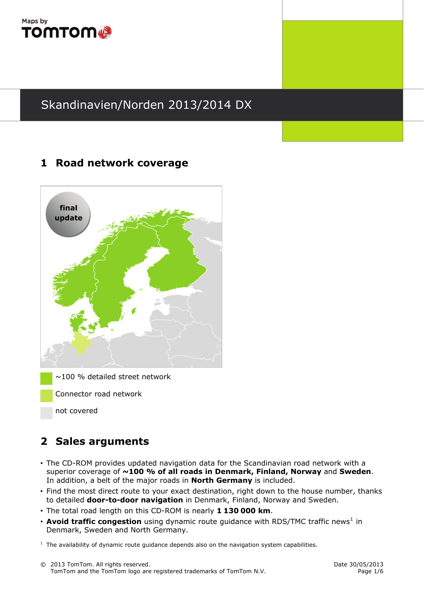

## **1 Road network coverage**



 $\sim$ 100 % detailed street network

Connector road network

not covered

## **2 Sales arguments**

- The CD-ROM provides updated navigation data for the Scandinavian road network with a superior coverage of **~100 % of all roads in Denmark, Finland, Norway** and **Sweden**. In addition, a belt of the major roads in **North Germany** is included.
- Find the most direct route to your exact destination, right down to the house number, thanks to detailed **door-to-door navigation** in Denmark, Finland, Norway and Sweden.
- The total road length on this CD-ROM is nearly **1 130 000 km**.
- **Avoid traffic congestion** using dynamic route guidance with RDS/TMC traffic news<sup>[1](#page-0-0)</sup> in Denmark, Sweden and North Germany.

<span id="page-0-0"></span> $<sup>1</sup>$  The availability of dynamic route guidance depends also on the navigation system capabilities.</sup>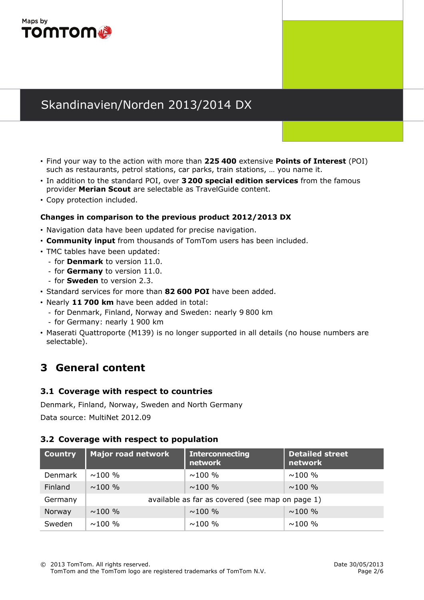

- Find your way to the action with more than **225 400** extensive **Points of Interest** (POI) such as restaurants, petrol stations, car parks, train stations, … you name it.
- In addition to the standard POI, over **3200 special edition services** from the famous provider **Merian Scout** are selectable as TravelGuide content.
- Copy protection included.

#### **Changes in comparison to the previous product 2012/2013 DX**

- Navigation data have been updated for precise navigation.
- **Community input** from thousands of TomTom users has been included.
- TMC tables have been updated:
	- for **Denmark** to version 11.0.
	- for **Germany** to version 11.0.
	- for **Sweden** to version 2.3.
- Standard services for more than **82 600 POI** have been added.
- Nearly **11 700 km** have been added in total:
	- for Denmark, Finland, Norway and Sweden: nearly 9 800 km
	- for Germany: nearly 1 900 km
- Maserati Quattroporte (M139) is no longer supported in all details (no house numbers are selectable).

## **3 General content**

#### **3.1 Coverage with respect to countries**

Denmark, Finland, Norway, Sweden and North Germany

Data source: MultiNet 2012.09

#### **3.2 Coverage with respect to population**

| <b>Country</b> | Major road network | <b>Interconnecting</b><br>network               | Detailed street<br>network |  |  |
|----------------|--------------------|-------------------------------------------------|----------------------------|--|--|
| Denmark        | $\sim$ 100 %       | $\sim$ 100 %                                    | $\sim$ 100 %               |  |  |
| Finland        | $\sim$ 100 %       | $\sim$ 100 %                                    | $\sim$ 100 %               |  |  |
| Germany        |                    | available as far as covered (see map on page 1) |                            |  |  |
| Norway         | $\sim$ 100 %       | $\sim$ 100 %                                    | $\sim$ 100 %               |  |  |
| Sweden         | $\sim$ 100 %       | $\sim$ 100 %                                    | $\sim$ 100 %               |  |  |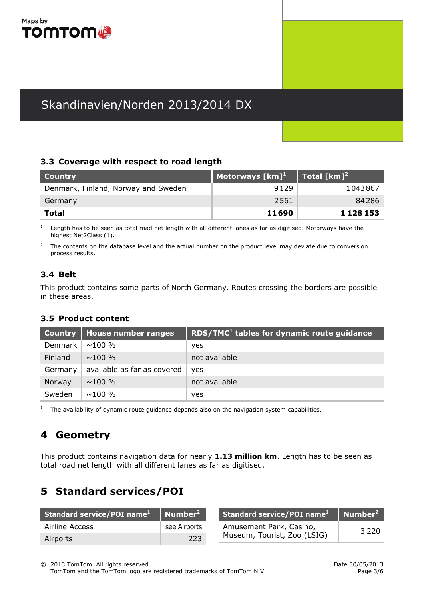

#### **3.3 Coverage with respect to road length**

| <b>Country</b>                      | <b>Motorways</b> $[km]$ <sup>1</sup> | Total [km] <sup>2</sup> |
|-------------------------------------|--------------------------------------|-------------------------|
| Denmark, Finland, Norway and Sweden | 9129                                 | 1043867                 |
| Germany                             | 2561                                 | 84286                   |
| Total                               | 11690                                | 1 1 2 8 1 5 3           |

1 Length has to be seen as total road net length with all different lanes as far as digitised. Motorways have the highest Net2Class (1).

 $\overline{2}$  The contents on the database level and the actual number on the product level may deviate due to conversion process results.

#### **3.4 Belt**

This product contains some parts of North Germany. Routes crossing the borders are possible in these areas.

### **3.5 Product content**

|         | Country   House number ranges | RDS/TMC <sup>1</sup> tables for dynamic route guidance |
|---------|-------------------------------|--------------------------------------------------------|
| Denmark | $\sim$ 100 %                  | yes                                                    |
| Finland | $\sim$ 100 %                  | not available                                          |
| Germany | available as far as covered   | yes                                                    |
| Norway  | $\sim$ 100 %                  | not available                                          |
| Sweden  | $\sim$ 100 %                  | yes                                                    |

1 The availability of dynamic route guidance depends also on the navigation system capabilities.

## **4 Geometry**

This product contains navigation data for nearly **1.13 million km**. Length has to be seen as total road net length with all different lanes as far as digitised.

## **5 Standard services/POI**

| Standard service/POI name <sup>1</sup> Number <sup>2</sup> |              | Standard service/POI name <sup>1</sup> Number <sup>2</sup> |         |
|------------------------------------------------------------|--------------|------------------------------------------------------------|---------|
| Airline Access                                             | see Airports | Amusement Park, Casino,                                    | 3 2 2 0 |
| Airports                                                   | 223          | Museum, Tourist, Zoo (LSIG)                                |         |

© 2013 TomTom. All rights reserved. Date 30/05/2013 TomTom and the TomTom logo are registered trademarks of TomTom N.V. Page 3/6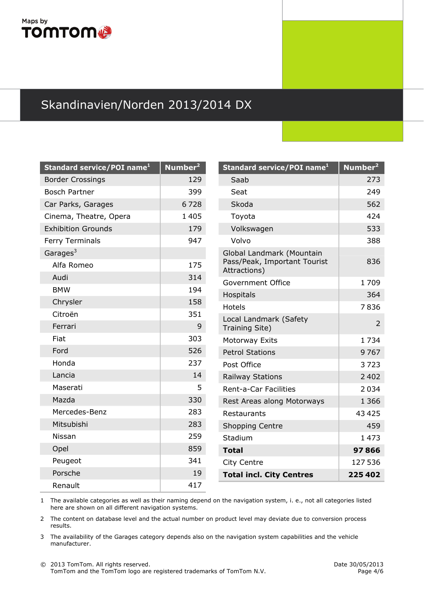## Maps by **TOMTOM®**

# Skandinavien/Norden 2013/2014 DX

| Standard service/POI name <sup>1</sup> | Number <sup>2</sup> | Standard service/POI name <sup>1</sup>       | Number <sup>2</sup> |  |
|----------------------------------------|---------------------|----------------------------------------------|---------------------|--|
| <b>Border Crossings</b>                | 129                 | Saab                                         | 273                 |  |
| <b>Bosch Partner</b>                   | 399                 | Seat                                         | 249                 |  |
| Car Parks, Garages                     | 6728                | Skoda                                        | 562                 |  |
| Cinema, Theatre, Opera                 | 1405                | Toyota                                       | 424                 |  |
| <b>Exhibition Grounds</b>              | 179                 | Volkswagen                                   | 533                 |  |
| Ferry Terminals                        | 947                 | Volvo                                        | 388                 |  |
| Garages <sup>3</sup>                   |                     | Global Landmark (Mountain                    |                     |  |
| Alfa Romeo                             | 175                 | Pass/Peak, Important Tourist<br>Attractions) | 836                 |  |
| Audi                                   | 314                 | Government Office                            | 1709                |  |
| <b>BMW</b>                             | 194                 | Hospitals                                    | 364                 |  |
| Chrysler                               | 158                 | Hotels                                       | 7836                |  |
| Citroën                                | 351                 | Local Landmark (Safety                       |                     |  |
| Ferrari                                | 9                   | Training Site)                               | $\overline{a}$      |  |
| Fiat                                   | 303                 | Motorway Exits                               | 1734                |  |
| Ford                                   | 526                 | <b>Petrol Stations</b>                       | 9767                |  |
| Honda                                  | 237                 | Post Office                                  | 3723                |  |
| Lancia                                 | 14                  | <b>Railway Stations</b>                      | 2 4 0 2             |  |
| Maserati                               | 5                   | Rent-a-Car Facilities                        | 2034                |  |
| Mazda                                  | 330                 | Rest Areas along Motorways                   | 1 3 6 6             |  |
| Mercedes-Benz                          | 283                 | Restaurants                                  | 43 4 25             |  |
| Mitsubishi                             | 283                 | <b>Shopping Centre</b>                       | 459                 |  |
| Nissan                                 | 259                 | Stadium                                      | 1473                |  |
| Opel                                   | 859                 | <b>Total</b>                                 | 97866               |  |
| Peugeot                                | 341                 | City Centre                                  | 127 536             |  |
| Porsche                                | 19                  | <b>Total incl. City Centres</b>              | 225402              |  |
| Renault                                | 417                 |                                              |                     |  |

1 The available categories as well as their naming depend on the navigation system, i. e., not all categories listed here are shown on all different navigation systems.

2 The content on database level and the actual number on product level may deviate due to conversion process results.

3 The availability of the Garages category depends also on the navigation system capabilities and the vehicle manufacturer.

836

1709

7836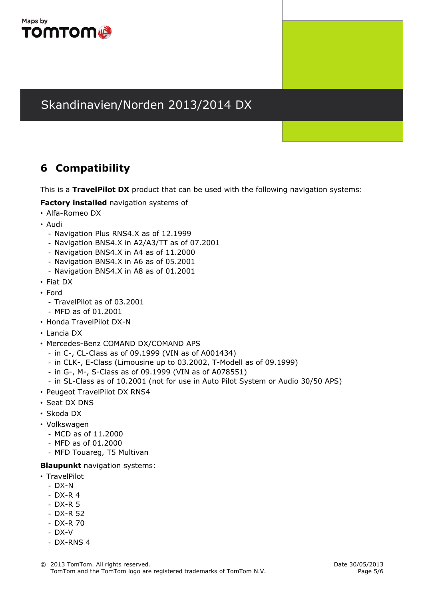

## **6 Compatibility**

This is a **TravelPilot DX** product that can be used with the following navigation systems:

**Factory installed** navigation systems of

- Alfa-Romeo DX
- Audi
	- Navigation Plus RNS4.X as of 12.1999
	- Navigation BNS4.X in A2/A3/TT as of 07.2001
	- Navigation BNS4.X in A4 as of 11.2000
	- Navigation BNS4.X in A6 as of 05.2001
	- Navigation BNS4.X in A8 as of 01.2001
- Fiat DX
- Ford
	- TravelPilot as of 03.2001
	- MFD as of 01.2001
- Honda TravelPilot DX-N
- Lancia DX
- Mercedes-Benz COMAND DX/COMAND APS
	- in C-, CL-Class as of 09.1999 (VIN as of A001434)
	- in CLK-, E-Class (Limousine up to 03.2002, T-Modell as of 09.1999)
	- in G-, M-, S-Class as of 09.1999 (VIN as of A078551)
	- in SL-Class as of 10.2001 (not for use in Auto Pilot System or Audio 30/50 APS)
- Peugeot TravelPilot DX RNS4
- Seat DX DNS
- Skoda DX
- Volkswagen
	- MCD as of 11.2000
	- MFD as of 01.2000
	- MFD Touareg, T5 Multivan

#### **Blaupunkt** navigation systems:

- TravelPilot
	- DX-N
	- DX-R 4
	- DX-R 5
	- DX-R 52
	- DX-R 70
	- DX-V
	- DX-RNS 4